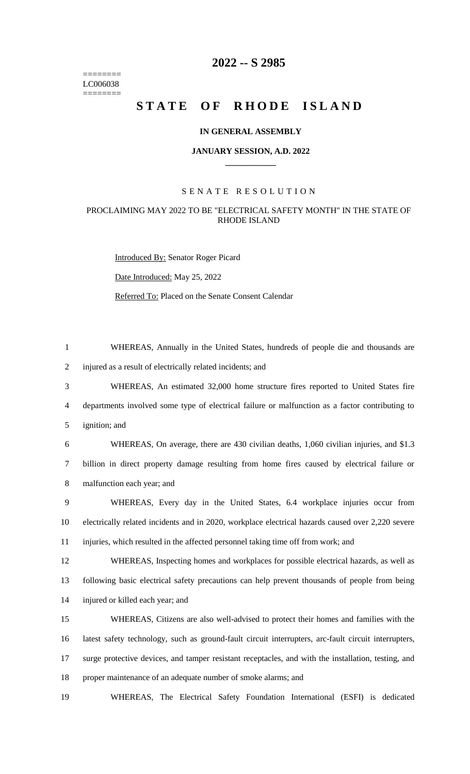======== LC006038  $=$ 

# **-- S 2985**

# STATE OF RHODE ISLAND

# **IN GENERAL ASSEMBLY**

#### **JANUARY SESSION, A.D. 2022 \_\_\_\_\_\_\_\_\_\_\_\_**

# S E N A T E R E S O L U T I O N

### PROCLAIMING MAY 2022 TO BE "ELECTRICAL SAFETY MONTH" IN THE STATE OF RHODE ISLAND

Introduced By: Senator Roger Picard

Date Introduced: May 25, 2022

Referred To: Placed on the Senate Consent Calendar

| $\mathbf{1}$   | WHEREAS, Annually in the United States, hundreds of people die and thousands are                     |
|----------------|------------------------------------------------------------------------------------------------------|
| $\overline{2}$ | injured as a result of electrically related incidents; and                                           |
| 3              | WHEREAS, An estimated 32,000 home structure fires reported to United States fire                     |
| $\overline{4}$ | departments involved some type of electrical failure or malfunction as a factor contributing to      |
| 5              | ignition; and                                                                                        |
| 6              | WHEREAS, On average, there are 430 civilian deaths, 1,060 civilian injuries, and \$1.3               |
| 7              | billion in direct property damage resulting from home fires caused by electrical failure or          |
| 8              | malfunction each year; and                                                                           |
| 9              | WHEREAS, Every day in the United States, 6.4 workplace injuries occur from                           |
| 10             | electrically related incidents and in 2020, workplace electrical hazards caused over 2,220 severe    |
| 11             | injuries, which resulted in the affected personnel taking time off from work; and                    |
| 12             | WHEREAS, Inspecting homes and workplaces for possible electrical hazards, as well as                 |
| 13             | following basic electrical safety precautions can help prevent thousands of people from being        |
| 14             | injured or killed each year; and                                                                     |
| 15             | WHEREAS, Citizens are also well-advised to protect their homes and families with the                 |
| 16             | latest safety technology, such as ground-fault circuit interrupters, arc-fault circuit interrupters, |
| 17             | surge protective devices, and tamper resistant receptacles, and with the installation, testing, and  |
| 18             | proper maintenance of an adequate number of smoke alarms; and                                        |

WHEREAS, The Electrical Safety Foundation International (ESFI) is dedicated